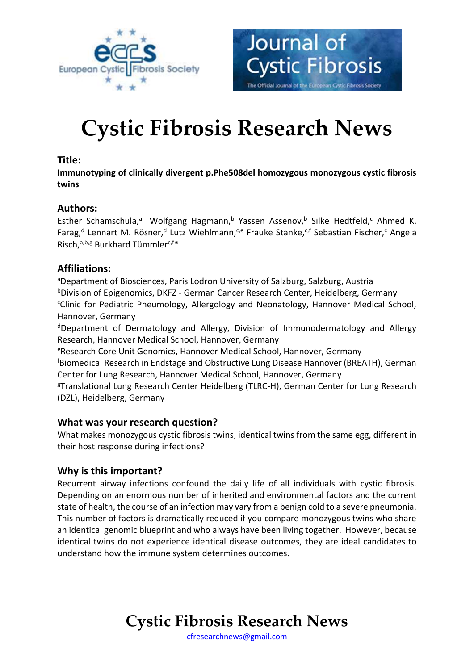



# **Cystic Fibrosis Research News**

### **Title:**

**Immunotyping of clinically divergent p.Phe508del homozygous monozygous cystic fibrosis twins** 

# **Authors:**

Esther Schamschula,<sup>a</sup> Wolfgang Hagmann,<sup>b</sup> Yassen Assenov,<sup>b</sup> Silke Hedtfeld,<sup>c</sup> Ahmed K. Farag,<sup>d</sup> Lennart M. Rösner,<sup>d</sup> Lutz Wiehlmann,<sup>c,e</sup> Frauke Stanke,<sup>c,f</sup> Sebastian Fischer,<sup>c</sup> Angela Risch,<sup>a,b,g</sup> Burkhard Tümmler<sup>c,f\*</sup>

# **Affiliations:**

<sup>a</sup>Department of Biosciences, Paris Lodron University of Salzburg, Salzburg, Austria <sup>b</sup>Division of Epigenomics, DKFZ - German Cancer Research Center, Heidelberg, Germany <sup>c</sup>Clinic for Pediatric Pneumology, Allergology and Neonatology, Hannover Medical School, Hannover, Germany

<sup>d</sup>Department of Dermatology and Allergy, Division of Immunodermatology and Allergy Research, Hannover Medical School, Hannover, Germany

<sup>e</sup>Research Core Unit Genomics, Hannover Medical School, Hannover, Germany

<sup>f</sup>Biomedical Research in Endstage and Obstructive Lung Disease Hannover (BREATH), German Center for Lung Research, Hannover Medical School, Hannover, Germany

<sup>g</sup>Translational Lung Research Center Heidelberg (TLRC-H), German Center for Lung Research (DZL), Heidelberg, Germany

### **What was your research question?**

What makes monozygous cystic fibrosis twins, identical twins from the same egg, different in their host response during infections?

# **Why is this important?**

Recurrent airway infections confound the daily life of all individuals with cystic fibrosis. Depending on an enormous number of inherited and environmental factors and the current state of health, the course of an infection may vary from a benign cold to a severe pneumonia. This number of factors is dramatically reduced if you compare monozygous twins who share an identical genomic blueprint and who always have been living together. However, because identical twins do not experience identical disease outcomes, they are ideal candidates to understand how the immune system determines outcomes.

# **Cystic Fibrosis Research News**

[cfresearchnews@gmail.com](mailto:cfresearchnews@gmail.com)